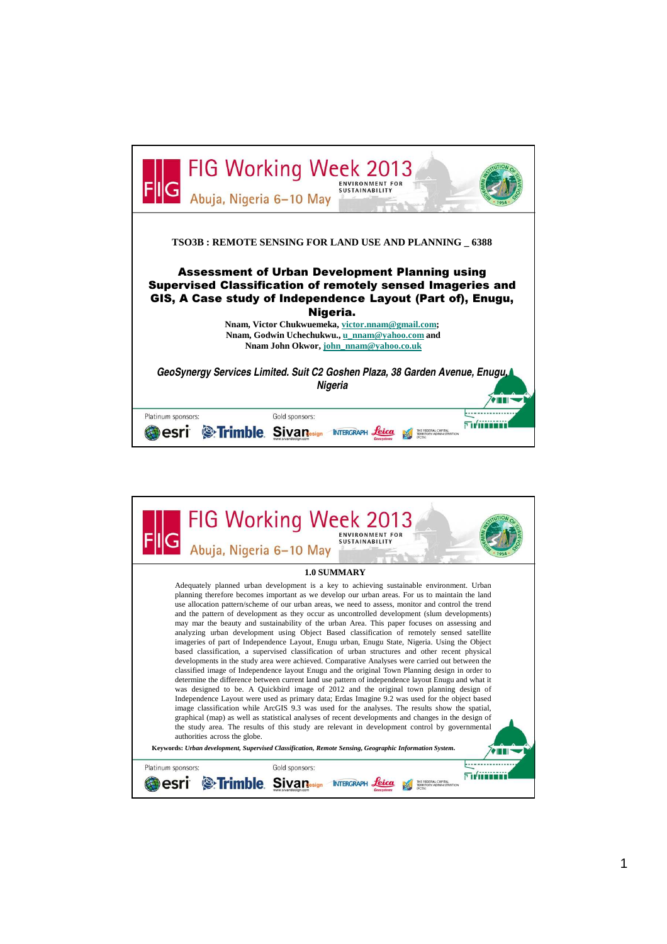

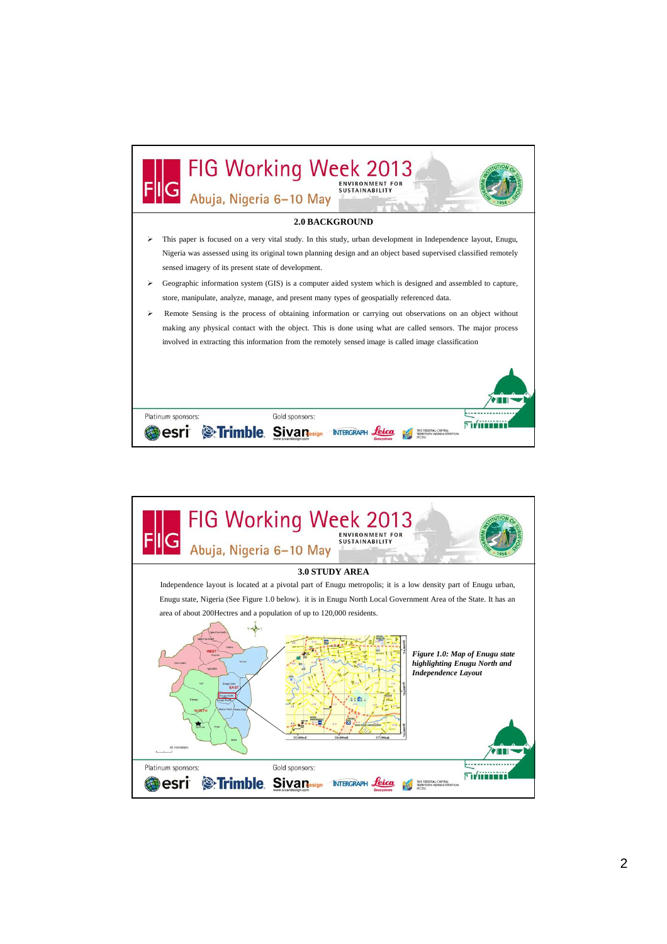

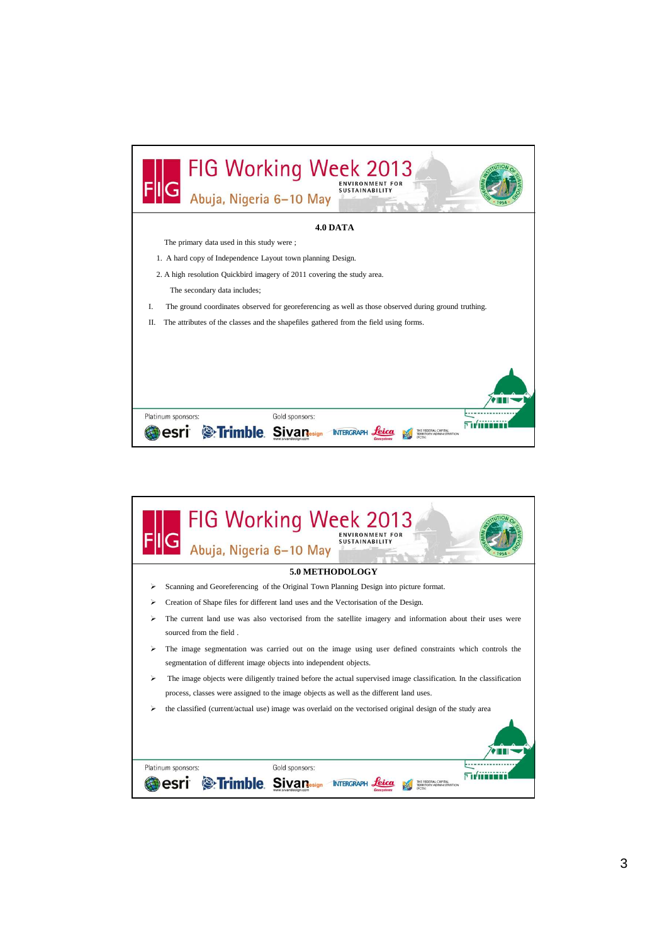| FIG Working Week 2013<br>Abuja, Nigeria 6-10 May<br><b>SUSTAINABILIT</b>                                  |
|-----------------------------------------------------------------------------------------------------------|
| 4.0 DATA                                                                                                  |
| The primary data used in this study were;                                                                 |
| 1. A hard copy of Independence Layout town planning Design.                                               |
| 2. A high resolution Quickbird imagery of 2011 covering the study area.                                   |
| The secondary data includes;                                                                              |
| L<br>The ground coordinates observed for georeferencing as well as those observed during ground truthing. |
| The attributes of the classes and the shapefiles gathered from the field using forms.<br>Π.               |
|                                                                                                           |
|                                                                                                           |
|                                                                                                           |
| Gold sponsors:<br>Platinum sponsors:                                                                      |
| <b>S</b> :Trimble                                                                                         |

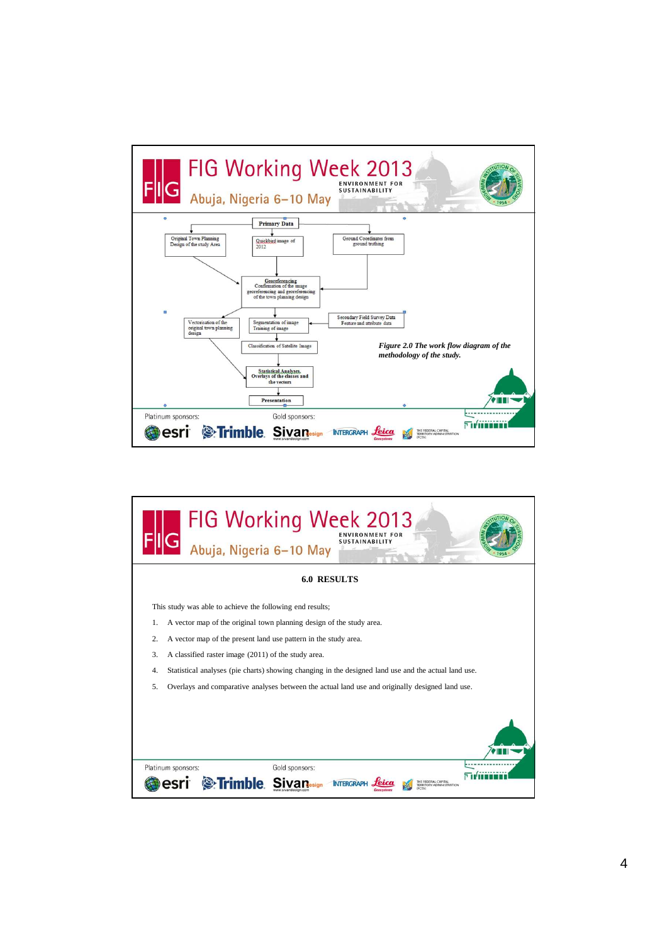

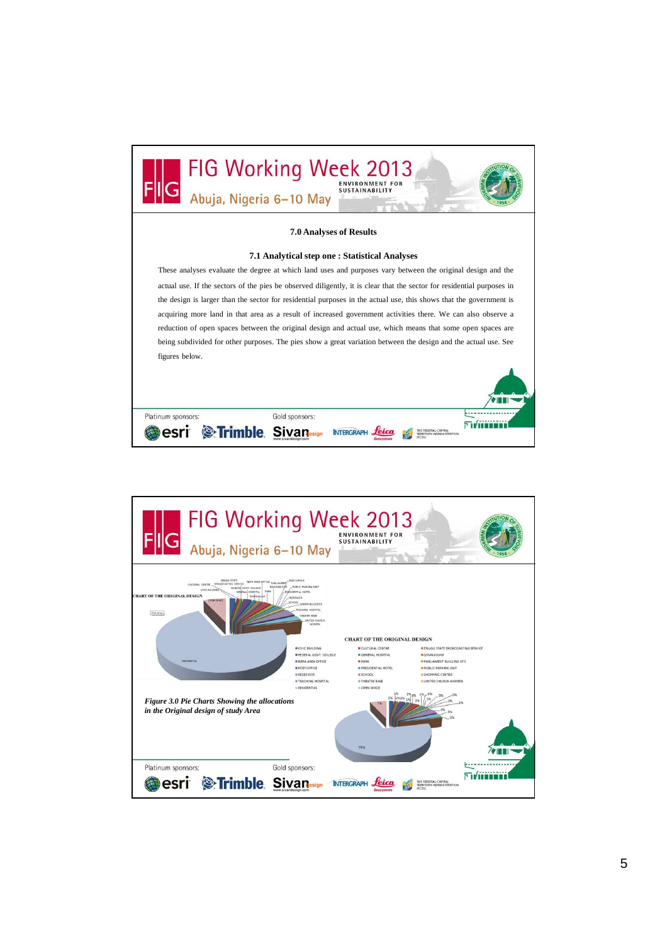

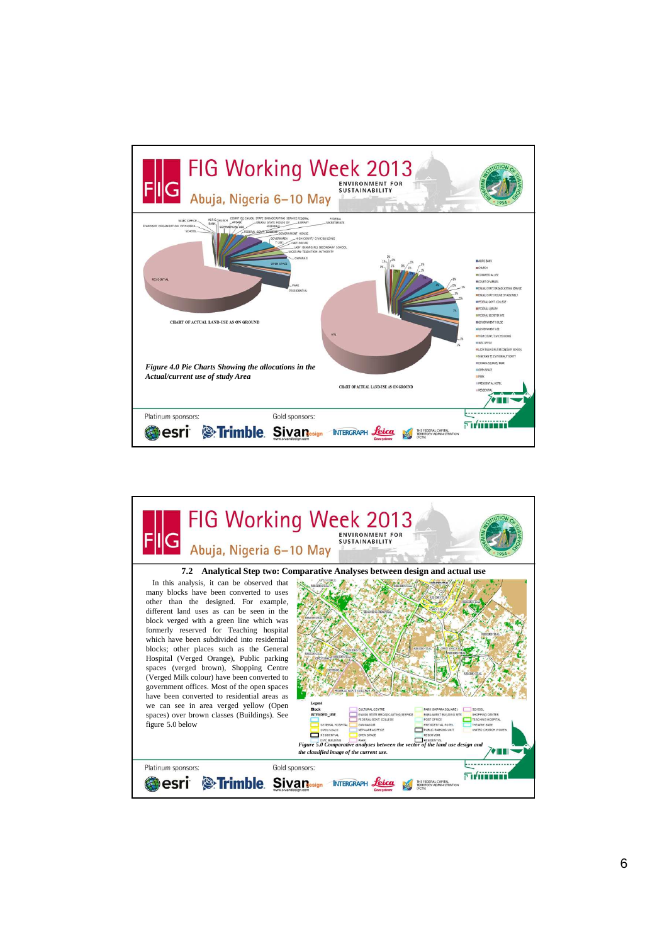

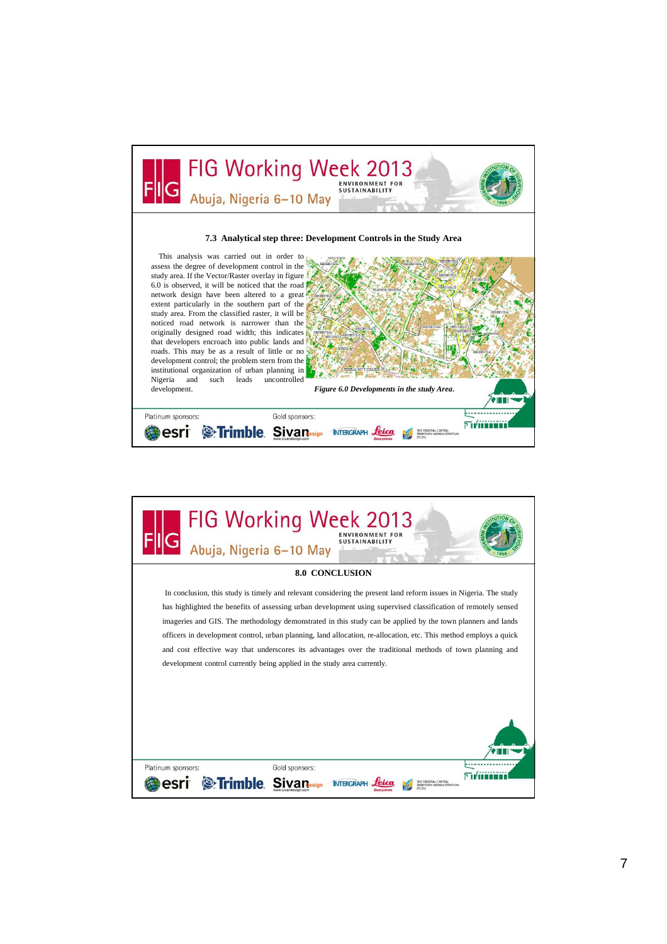